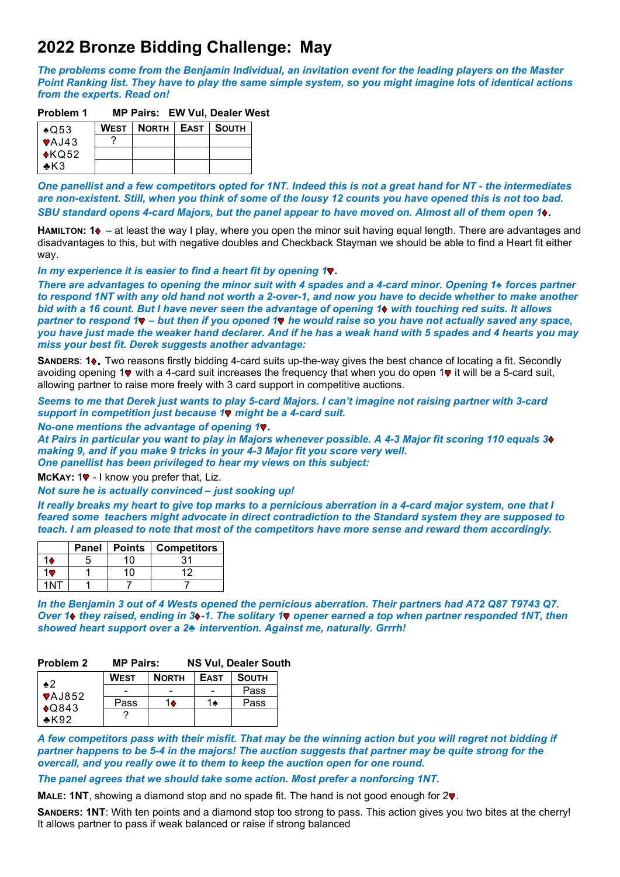# **2022 Bronze Bidding Challenge: May**

*The problems come from the Benjamin Individual, an invitation event for the leading players on the Master Point Ranking list. They have to play the same simple system, so you might imagine lots of identical actions from the experts. Read on!*

## **Problem 1 MP Pairs: EW Vul, Dealer West**

| $\triangle$ Q53        | WEST   NORTH   EAST   SOUTH |  |
|------------------------|-----------------------------|--|
| $\sqrt{4J43}$          |                             |  |
| $\sqrt{\mathsf{kQ52}}$ |                             |  |
| $\triangle$ K3         |                             |  |

*One panellist and a few competitors opted for 1NT. Indeed this is not a great hand for NT - the intermediates are non-existent. Still, when you think of some of the lousy 12 counts you have opened this is not too bad. SBU standard opens 4-card Majors, but the panel appear to have moved on. Almost all of them open 1* **.**

**HAMILTON: 1** – at least the way I play, where you open the minor suit having equal length. There are advantages and disadvantages to this, but with negative doubles and Checkback Stayman we should be able to find a Heart fit either way.

*In my experience it is easier to find a heart fit by opening 1*.

*There are advantages to opening the minor suit with 4 spades and a 4-card minor. Opening 1*♠ *forces partner to respond 1NT with any old hand not worth a 2-over-1, and now you have to decide whether to make another bid with a 16 count. But I have never seen the advantage of opening 1 with touching red suits. It allows partner to respond 1 – but then if you opened 1 he would raise so you have not actually saved any space, you have just made the weaker hand declarer. And if he has a weak hand with 5 spades and 4 hearts you may miss your best fit. Derek suggests another advantage:* 

**SANDERS: 1** $\bullet$ **. Two reasons firstly bidding 4-card suits up-the-way gives the best chance of locating a fit. Secondly** avoiding opening 1 $\bullet$  with a 4-card suit increases the frequency that when you do open 1 $\bullet$  it will be a 5-card suit, allowing partner to raise more freely with 3 card support in competitive auctions.

*Seems to me that Derek just wants to play 5-card Majors. I can't imagine not raising partner with 3-card support in competition just because 1 might be a 4-card suit.* 

*No-one mentions the advantage of opening 1*.

*At Pairs in particular you want to play in Majors whenever possible. A 4-3 Major fit scoring 110 equals 3 making 9, and if you make 9 tricks in your 4-3 Major fit you score very well. One panellist has been privileged to hear my views on this subject:*

**MCKAY: 19 - I know you prefer that, Liz.** 

#### *Not sure he is actually convinced – just sooking up!*

*It really breaks my heart to give top marks to a pernicious aberration in a 4-card major system, one that I feared some teachers might advocate in direct contradiction to the Standard system they are supposed to teach. I am pleased to note that most of the competitors have more sense and reward them accordingly.* 

| <b>Panel</b> | $\mid$ Points | <b>Competitors</b> |
|--------------|---------------|--------------------|
|              |               |                    |
|              |               | 12                 |
|              |               |                    |

*In the Benjamin 3 out of 4 Wests opened the pernicious aberration. Their partners had A72 Q87 T9743 Q7. Over 1 they raised, ending in 3 -1. The solitary 1 opener earned a top when partner responded 1NT, then showed heart support over a 2♣ intervention. Against me, naturally. Grrrh!* 

### **Problem 2 MP Pairs: NS Vul, Dealer South**

| $\clubsuit 2$              | <b>WEST</b> | <b>NORTH</b> | <b>EAST</b> | <b>SOUTH</b> |
|----------------------------|-------------|--------------|-------------|--------------|
| $\sqrt{4J852}$             |             |              |             | Pass         |
| $\triangle$ Q843<br>$*K92$ | Pass        | 14           | 1♠          | Pass         |
|                            |             |              |             |              |

*A few competitors pass with their misfit. That may be the winning action but you will regret not bidding if partner happens to be 5-4 in the majors! The auction suggests that partner may be quite strong for the overcall, and you really owe it to them to keep the auction open for one round.*

*The panel agrees that we should take some action. Most prefer a nonforcing 1NT.*

**MALE: 1NT**, showing a diamond stop and no spade fit. The hand is not good enough for 2.

**SANDERS: 1NT**: With ten points and a diamond stop too strong to pass. This action gives you two bites at the cherry! It allows partner to pass if weak balanced or raise if strong balanced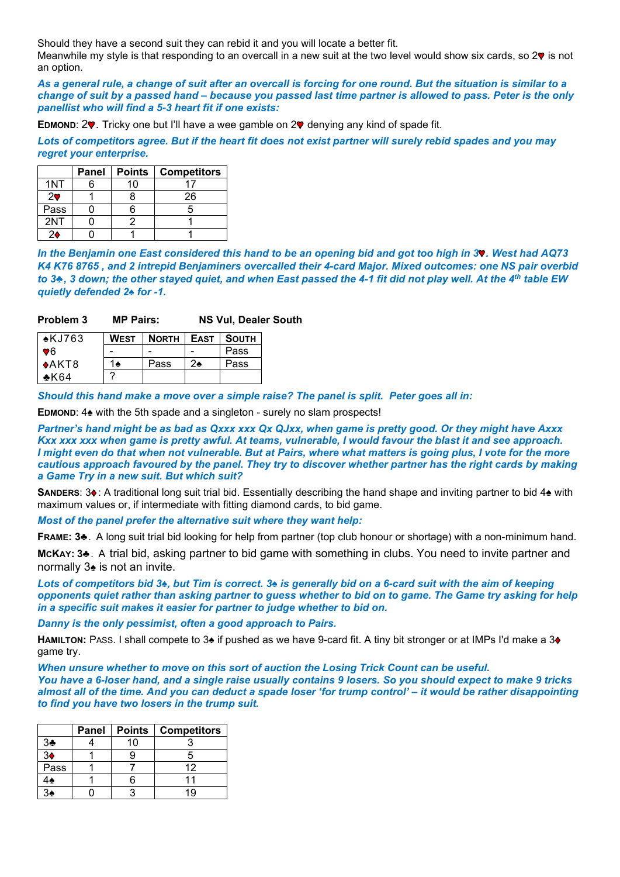Should they have a second suit they can rebid it and you will locate a better fit.

Meanwhile my style is that responding to an overcall in a new suit at the two level would show six cards, so  $2\Psi$  is not an option.

*As a general rule, a change of suit after an overcall is forcing for one round. But the situation is similar to a change of suit by a passed hand – because you passed last time partner is allowed to pass. Peter is the only panellist who will find a 5-3 heart fit if one exists:*

**EDMOND: 2.** Tricky one but I'll have a wee gamble on 2. denying any kind of spade fit.

*Lots of competitors agree. But if the heart fit does not exist partner will surely rebid spades and you may regret your enterprise.* 

|                | <b>Panel</b> | <b>Points</b> | <b>Competitors</b> |
|----------------|--------------|---------------|--------------------|
| 1NT            |              | 10            |                    |
| 2 <sub>v</sub> |              |               | 26                 |
| Pass           |              |               | 5                  |
| 2NT            |              |               |                    |
| 2۵             |              |               |                    |

*In the Benjamin one East considered this hand to be an opening bid and got too high in 3<sup>\*</sup>. West had AQ73 K4 K76 8765 , and 2 intrepid Benjaminers overcalled their 4-card Major. Mixed outcomes: one NS pair overbid to 3♣, 3 down; the other stayed quiet, and when East passed the 4-1 fit did not play well. At the 4th table EW quietly defended 2♠ for -1.* 

| Problem 3 | <b>MP Pairs:</b> | <b>NS Vul, Dealer South</b> |
|-----------|------------------|-----------------------------|
|-----------|------------------|-----------------------------|

| $\star$ KJ763 | <b>WEST</b> | <b>NORTH   EAST   SOUTH</b> |               |      |
|---------------|-------------|-----------------------------|---------------|------|
| $\P\,6$       |             |                             |               | Pass |
| $ \star$ AKT8 | 1♠          | Pass                        | $2\spadesuit$ | Pass |
| $*K64$        |             |                             |               |      |

*Should this hand make a move over a simple raise? The panel is split. Peter goes all in:*

**EDMOND**: 4♠ with the 5th spade and a singleton - surely no slam prospects!

*Partner's hand might be as bad as Qxxx xxx Qx QJxx, when game is pretty good. Or they might have Axxx Kxx xxx xxx when game is pretty awful. At teams, vulnerable, I would favour the blast it and see approach. I might even do that when not vulnerable. But at Pairs, where what matters is going plus, I vote for the more cautious approach favoured by the panel. They try to discover whether partner has the right cards by making a Game Try in a new suit. But which suit?*

**SANDERS: 3♦: A traditional long suit trial bid. Essentially describing the hand shape and inviting partner to bid 4♠ with** maximum values or, if intermediate with fitting diamond cards, to bid game.

*Most of the panel prefer the alternative suit where they want help:* 

**FRAME: 3**♣. A long suit trial bid looking for help from partner (top club honour or shortage) with a non-minimum hand.

**MCKAY: 3**♣. A trial bid, asking partner to bid game with something in clubs. You need to invite partner and normally 3♠ is not an invite.

*Lots of competitors bid 3♠, but Tim is correct. 3♠ is generally bid on a 6-card suit with the aim of keeping opponents quiet rather than asking partner to guess whether to bid on to game. The Game try asking for help in a specific suit makes it easier for partner to judge whether to bid on.* 

*Danny is the only pessimist, often a good approach to Pairs.*

**HAMILTON:** PASS. I shall compete to 3♠ if pushed as we have 9-card fit. A tiny bit stronger or at IMPs I'd make a 3♦ game try.

*When unsure whether to move on this sort of auction the Losing Trick Count can be useful. You have a 6-loser hand, and a single raise usually contains 9 losers. So you should expect to make 9 tricks almost all of the time. And you can deduct a spade loser 'for trump control' – it would be rather disappointing to find you have two losers in the trump suit.*

|                | <b>Panel</b> | <b>Points</b> | <b>Competitors</b> |
|----------------|--------------|---------------|--------------------|
| 3 <sub>2</sub> |              | 10            |                    |
| 3 <sub>•</sub> |              |               | 5                  |
| Pass           |              |               | 12                 |
| $4\spadesuit$  |              |               |                    |
| 34             |              |               | 10                 |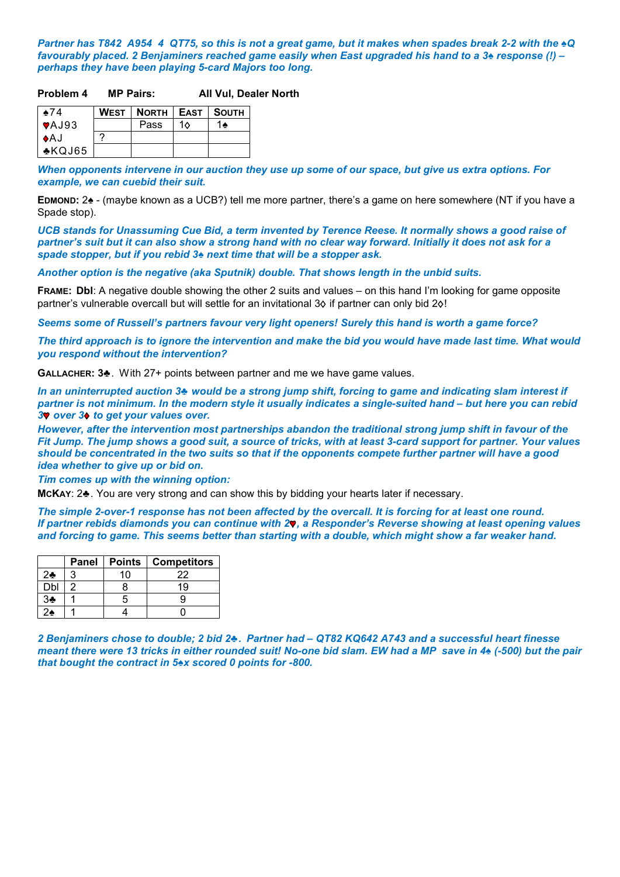*Partner has T842 A954 4 QT75, so this is not a great game, but it makes when spades break 2-2 with the ♠Q favourably placed. 2 Benjaminers reached game easily when East upgraded his hand to a 3♠ response (!) – perhaps they have been playing 5-card Majors too long.* 

#### **Problem 4 MP Pairs: All Vul, Dealer North**

| $*74$                     | WEST   NORTH   EAST   SOUTH |           |    |
|---------------------------|-----------------------------|-----------|----|
| $\blacktriangledown$ AJ93 | Pass                        | 1 $\land$ | 1♠ |
| IAJ                       |                             |           |    |
| $\triangle$ KQJ65         |                             |           |    |

*When opponents intervene in our auction they use up some of our space, but give us extra options. For example, we can cuebid their suit.*

**EDMOND:** 2♠ - (maybe known as a UCB?) tell me more partner, there's a game on here somewhere (NT if you have a Spade stop).

*UCB stands for Unassuming Cue Bid, a term invented by Terence Reese. It normally shows a good raise of partner's suit but it can also show a strong hand with no clear way forward. Initially it does not ask for a spade stopper, but if you rebid 3♠ next time that will be a stopper ask.*

*Another option is the negative (aka Sputnik) double. That shows length in the unbid suits.* 

**FRAME: Dbl**: A negative double showing the other 2 suits and values – on this hand I'm looking for game opposite partner's vulnerable overcall but will settle for an invitational 3 $\diamond$  if partner can only bid 2 $\diamond$ !

*Seems some of Russell's partners favour very light openers! Surely this hand is worth a game force?* 

*The third approach is to ignore the intervention and make the bid you would have made last time. What would you respond without the intervention?*

**GALLACHER: 3**♣. With 27+ points between partner and me we have game values.

*In an uninterrupted auction 3♣ would be a strong jump shift, forcing to game and indicating slam interest if partner is not minimum. In the modern style it usually indicates a single-suited hand – but here you can rebid*  **3** over 3<sup> $\bullet$ </sup> to get your values over.

*However, after the intervention most partnerships abandon the traditional strong jump shift in favour of the Fit Jump. The jump shows a good suit, a source of tricks, with at least 3-card support for partner. Your values should be concentrated in the two suits so that if the opponents compete further partner will have a good idea whether to give up or bid on.*

*Tim comes up with the winning option:*

**MCKAY**: 2♣. You are very strong and can show this by bidding your hearts later if necessary.

*The simple 2-over-1 response has not been affected by the overcall. It is forcing for at least one round. If partner rebids diamonds you can continue with 2 , a Responder's Reverse showing at least opening values and forcing to game. This seems better than starting with a double, which might show a far weaker hand.* 

|     | Panel | <b>Points</b> | <b>Competitors</b> |
|-----|-------|---------------|--------------------|
| 2♣  |       | 10            | 22                 |
| Dbl |       |               |                    |
| 3♣  |       |               |                    |
| ≱?  |       |               |                    |

*2 Benjaminers chose to double; 2 bid 2♣. Partner had – QT82 KQ642 A743 and a successful heart finesse meant there were 13 tricks in either rounded suit! No-one bid slam. EW had a MP save in 4***♠** *(-500) but the pair that bought the contract in 5♠x scored 0 points for -800.*